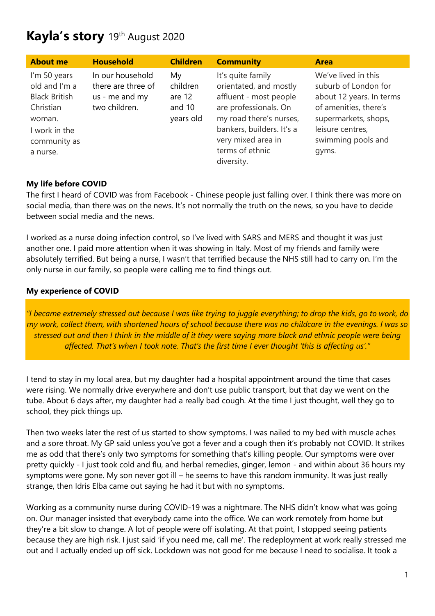# **Kayla's story** 19th August 2020

| <b>About me</b>                                                                                                           | <b>Household</b>                                                          | <b>Children</b>                                 | <b>Community</b>                                                                                                                                                                                              | <b>Area</b>                                                                                                                                                                 |
|---------------------------------------------------------------------------------------------------------------------------|---------------------------------------------------------------------------|-------------------------------------------------|---------------------------------------------------------------------------------------------------------------------------------------------------------------------------------------------------------------|-----------------------------------------------------------------------------------------------------------------------------------------------------------------------------|
| I'm 50 years<br>old and I'm a<br><b>Black British</b><br>Christian<br>woman.<br>I work in the<br>community as<br>a nurse. | In our household<br>there are three of<br>us - me and my<br>two children. | My<br>children<br>are 12<br>and 10<br>years old | It's quite family<br>orientated, and mostly<br>affluent - most people<br>are professionals. On<br>my road there's nurses,<br>bankers, builders. It's a<br>very mixed area in<br>terms of ethnic<br>diversity. | We've lived in this<br>suburb of London for<br>about 12 years. In terms<br>of amenities, there's<br>supermarkets, shops,<br>leisure centres,<br>swimming pools and<br>gyms. |

#### **My life before COVID**

The first I heard of COVID was from Facebook - Chinese people just falling over. I think there was more on social media, than there was on the news. It's not normally the truth on the news, so you have to decide between social media and the news.

I worked as a nurse doing infection control, so I've lived with SARS and MERS and thought it was just another one. I paid more attention when it was showing in Italy. Most of my friends and family were absolutely terrified. But being a nurse, I wasn't that terrified because the NHS still had to carry on. I'm the only nurse in our family, so people were calling me to find things out.

#### **My experience of COVID**

*"I became extremely stressed out because I was like trying to juggle everything; to drop the kids, go to work, do my work, collect them, with shortened hours of school because there was no childcare in the evenings. I was so stressed out and then I think in the middle of it they were saying more black and ethnic people were being affected. That's when I took note. That's the first time I ever thought 'this is affecting us'."*

I tend to stay in my local area, but my daughter had a hospital appointment around the time that cases were rising. We normally drive everywhere and don't use public transport, but that day we went on the tube. About 6 days after, my daughter had a really bad cough. At the time I just thought, well they go to school, they pick things up.

Then two weeks later the rest of us started to show symptoms. I was nailed to my bed with muscle aches and a sore throat. My GP said unless you've got a fever and a cough then it's probably not COVID. It strikes me as odd that there's only two symptoms for something that's killing people. Our symptoms were over pretty quickly - I just took cold and flu, and herbal remedies, ginger, lemon - and within about 36 hours my symptoms were gone. My son never got ill – he seems to have this random immunity. It was just really strange, then Idris Elba came out saying he had it but with no symptoms.

Working as a community nurse during COVID-19 was a nightmare. The NHS didn't know what was going on. Our manager insisted that everybody came into the office. We can work remotely from home but they're a bit slow to change. A lot of people were off isolating. At that point, I stopped seeing patients because they are high risk. I just said 'if you need me, call me'. The redeployment at work really stressed me out and I actually ended up off sick. Lockdown was not good for me because I need to socialise. It took a